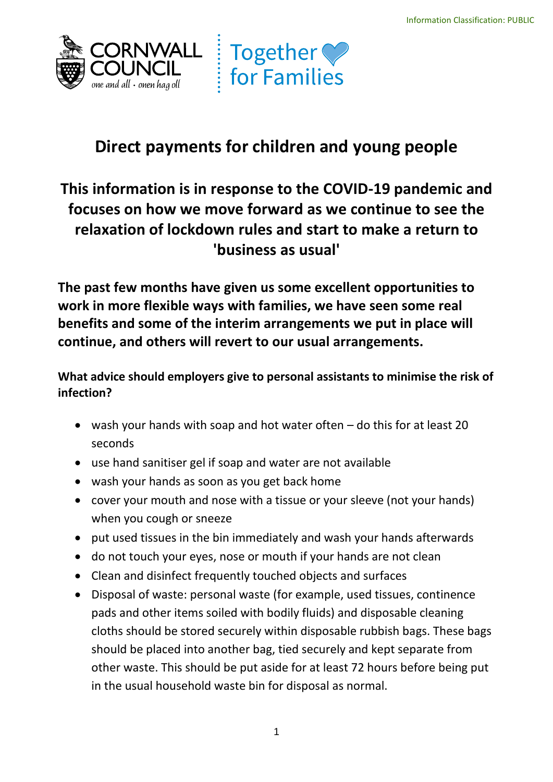



# **Direct payments for children and young people**

## **relaxation of lockdown rules and start to make a return to This information is in response to the COVID-19 pandemic and focuses on how we move forward as we continue to see the 'business as usual'**

**The past few months have given us some excellent opportunities to work in more flexible ways with families, we have seen some real benefits and some of the interim arrangements we put in place will continue, and others will revert to our usual arrangements.** 

**What advice should employers give to personal assistants to minimise the risk of infection?** 

- • wash your hands with soap and hot water often do this for at least 20 seconds
- use hand sanitiser gel if soap and water are not available
- wash your hands as soon as you get back home
- • cover your mouth and nose with a tissue or your sleeve (not your hands) when you cough or sneeze
- put used tissues in the bin immediately and wash your hands afterwards
- do not touch your eyes, nose or mouth if your hands are not clean
- Clean and disinfect frequently touched objects and surfaces
- • Disposal of waste: personal waste (for example, used tissues, continence pads and other items soiled with bodily fluids) and disposable cleaning cloths should be stored securely within disposable rubbish bags. These bags should be placed into another bag, tied securely and kept separate from other waste. This should be put aside for at least 72 hours before being put in the usual household waste bin for disposal as normal.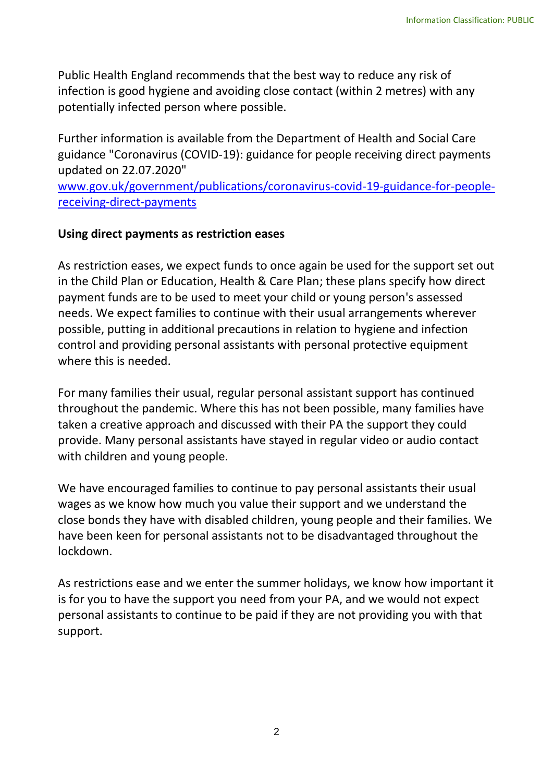Public Health England recommends that the best way to reduce any risk of infection is good hygiene and avoiding close contact (within 2 metres) with any potentially infected person where possible.

 Further information is available from the Department of Health and Social Care updated on 22.07.2020" guidance "Coronavirus (COVID-19): guidance for people receiving direct payments

[www.gov.uk/government/publications/coronavirus-covid-19-guidance-for-people](https://www.gov.uk/government/publications/coronavirus-covid-19-guidance-for-people-receiving-direct-payments)[receiving-direct-payments](https://www.gov.uk/government/publications/coronavirus-covid-19-guidance-for-people-receiving-direct-payments) 

#### **Using direct payments as restriction eases**

 As restriction eases, we expect funds to once again be used for the support set out in the Child Plan or Education, Health & Care Plan; these plans specify how direct payment funds are to be used to meet your child or young person's assessed possible, putting in additional precautions in relation to hygiene and infection needs. We expect families to continue with their usual arrangements wherever control and providing personal assistants with personal protective equipment where this is needed.

 throughout the pandemic. Where this has not been possible, many families have taken a creative approach and discussed with their PA the support they could with children and young people. For many families their usual, regular personal assistant support has continued provide. Many personal assistants have stayed in regular video or audio contact

 wages as we know how much you value their support and we understand the close bonds they have with disabled children, young people and their families. We have been keen for personal assistants not to be disadvantaged throughout the We have encouraged families to continue to pay personal assistants their usual lockdown.

 personal assistants to continue to be paid if they are not providing you with that As restrictions ease and we enter the summer holidays, we know how important it is for you to have the support you need from your PA, and we would not expect support.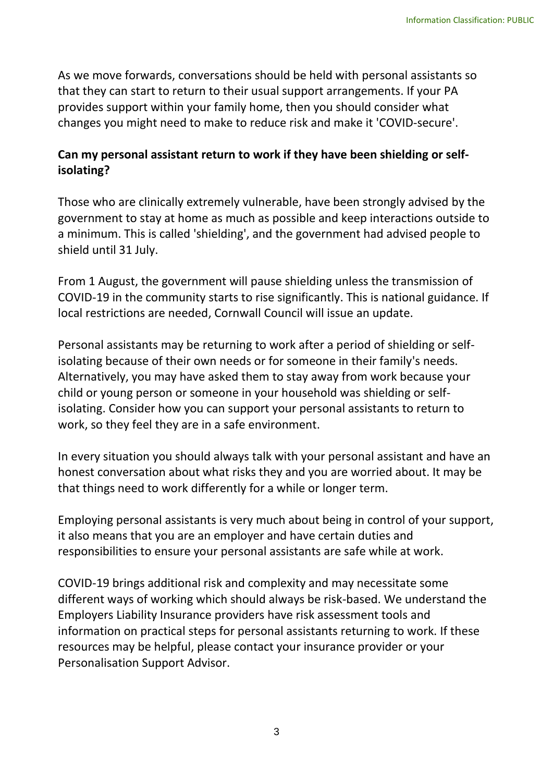As we move forwards, conversations should be held with personal assistants so that they can start to return to their usual support arrangements. If your PA provides support within your family home, then you should consider what changes you might need to make to reduce risk and make it 'COVID-secure'.

### **Can my personal assistant return to work if they have been shielding or selfisolating?**

 Those who are clinically extremely vulnerable, have been strongly advised by the government to stay at home as much as possible and keep interactions outside to shield until 31 July. a minimum. This is called 'shielding', and the government had advised people to

 COVID-19 in the community starts to rise significantly. This is national guidance. If From 1 August, the government will pause shielding unless the transmission of local restrictions are needed, Cornwall Council will issue an update.

 isolating because of their own needs or for someone in their family's needs. Alternatively, you may have asked them to stay away from work because your child or young person or someone in your household was shielding or self- isolating. Consider how you can support your personal assistants to return to Personal assistants may be returning to work after a period of shielding or selfwork, so they feel they are in a safe environment.

 In every situation you should always talk with your personal assistant and have an honest conversation about what risks they and you are worried about. It may be that things need to work differently for a while or longer term.

 it also means that you are an employer and have certain duties and Employing personal assistants is very much about being in control of your support, responsibilities to ensure your personal assistants are safe while at work.

 different ways of working which should always be risk-based. We understand the information on practical steps for personal assistants returning to work. If these COVID-19 brings additional risk and complexity and may necessitate some Employers Liability Insurance providers have risk assessment tools and resources may be helpful, please contact your insurance provider or your Personalisation Support Advisor.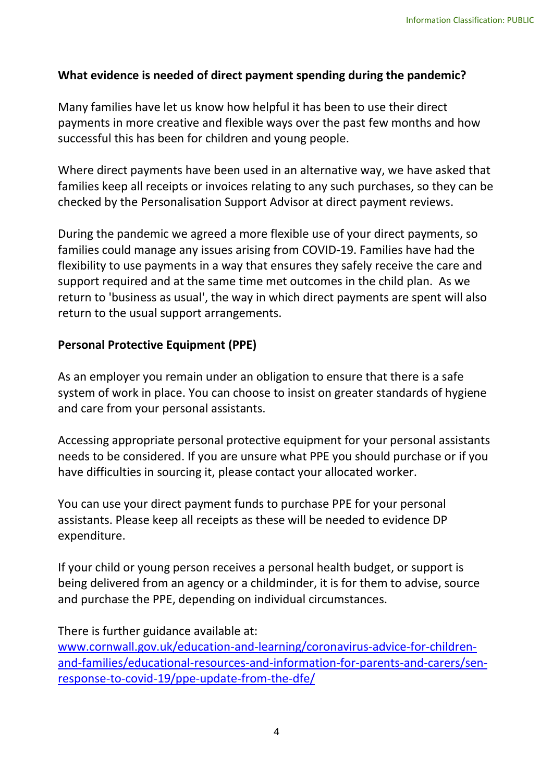### **What evidence is needed of direct payment spending during the pandemic?**

 successful this has been for children and young people. Many families have let us know how helpful it has been to use their direct payments in more creative and flexible ways over the past few months and how

 Where direct payments have been used in an alternative way, we have asked that families keep all receipts or invoices relating to any such purchases, so they can be checked by the Personalisation Support Advisor at direct payment reviews.

 support required and at the same time met outcomes in the child plan. As we return to 'business as usual', the way in which direct payments are spent will also During the pandemic we agreed a more flexible use of your direct payments, so families could manage any issues arising from COVID-19. Families have had the flexibility to use payments in a way that ensures they safely receive the care and return to the usual support arrangements.

#### **Personal Protective Equipment (PPE)**

 As an employer you remain under an obligation to ensure that there is a safe system of work in place. You can choose to insist on greater standards of hygiene and care from your personal assistants.

 needs to be considered. If you are unsure what PPE you should purchase or if you have difficulties in sourcing it, please contact your allocated worker. Accessing appropriate personal protective equipment for your personal assistants

 You can use your direct payment funds to purchase PPE for your personal assistants. Please keep all receipts as these will be needed to evidence DP expenditure.

 If your child or young person receives a personal health budget, or support is being delivered from an agency or a childminder, it is for them to advise, source and purchase the PPE, depending on individual circumstances.

There is further guidance available at:

[www.cornwall.gov.uk/education-and-learning/coronavirus-advice-for-children](http://www.cornwall.gov.uk/education-and-learning/coronavirus-advice-for-children-and-families/educational-resources-and-information-for-parents-and-carers/sen-response-to-covid-19/ppe-update-from-the-dfe/)[and-families/educational-resources-and-information-for-parents-and-carers/sen](http://www.cornwall.gov.uk/education-and-learning/coronavirus-advice-for-children-and-families/educational-resources-and-information-for-parents-and-carers/sen-response-to-covid-19/ppe-update-from-the-dfe/)[response-to-covid-19/ppe-update-from-the-dfe/](http://www.cornwall.gov.uk/education-and-learning/coronavirus-advice-for-children-and-families/educational-resources-and-information-for-parents-and-carers/sen-response-to-covid-19/ppe-update-from-the-dfe/)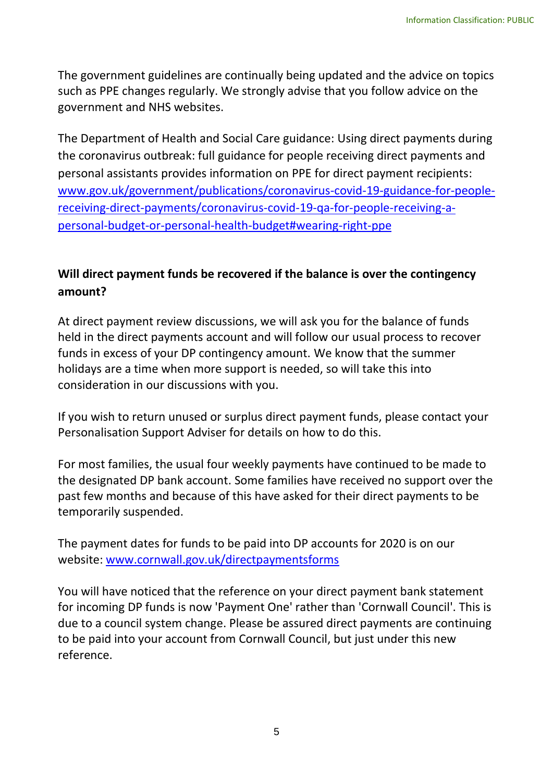The government guidelines are continually being updated and the advice on topics such as PPE changes regularly. We strongly advise that you follow advice on the government and NHS websites.

 The Department of Health and Social Care guidance: Using direct payments during personal assistants provides information on PPE for direct payment recipients: the coronavirus outbreak: full guidance for people receiving direct payments and [www.gov.uk/government/publications/coronavirus-covid-19-guidance-for-people](http://www.gov.uk/government/publications/coronavirus-covid-19-guidance-for-people-receiving-direct-payments/coronavirus-covid-19-qa-for-people-receiving-a-personal-budget-or-personal-health-budget#wearing-right-ppe)[receiving-direct-payments/coronavirus-covid-19-qa-for-people-receiving-a](http://www.gov.uk/government/publications/coronavirus-covid-19-guidance-for-people-receiving-direct-payments/coronavirus-covid-19-qa-for-people-receiving-a-personal-budget-or-personal-health-budget#wearing-right-ppe)[personal-budget-or-personal-health-budget#wearing-right-ppe](http://www.gov.uk/government/publications/coronavirus-covid-19-guidance-for-people-receiving-direct-payments/coronavirus-covid-19-qa-for-people-receiving-a-personal-budget-or-personal-health-budget#wearing-right-ppe) 

## **Will direct payment funds be recovered if the balance is over the contingency amount?**

 At direct payment review discussions, we will ask you for the balance of funds held in the direct payments account and will follow our usual process to recover funds in excess of your DP contingency amount. We know that the summer holidays are a time when more support is needed, so will take this into consideration in our discussions with you.

 If you wish to return unused or surplus direct payment funds, please contact your Personalisation Support Adviser for details on how to do this.

 the designated DP bank account. Some families have received no support over the temporarily suspended. For most families, the usual four weekly payments have continued to be made to past few months and because of this have asked for their direct payments to be

temporarily suspended.<br>The payment dates for funds to be paid into DP accounts for 2020 is on our website: [www.cornwall.gov.uk/directpaymentsforms](http://www.cornwall.gov.uk/directpaymentsforms) 

You will have noticed that the reference on your direct payment bank statement for incoming DP funds is now 'Payment One' rather than 'Cornwall Council'. This is due to a council system change. Please be assured direct payments are continuing to be paid into your account from Cornwall Council, but just under this new reference.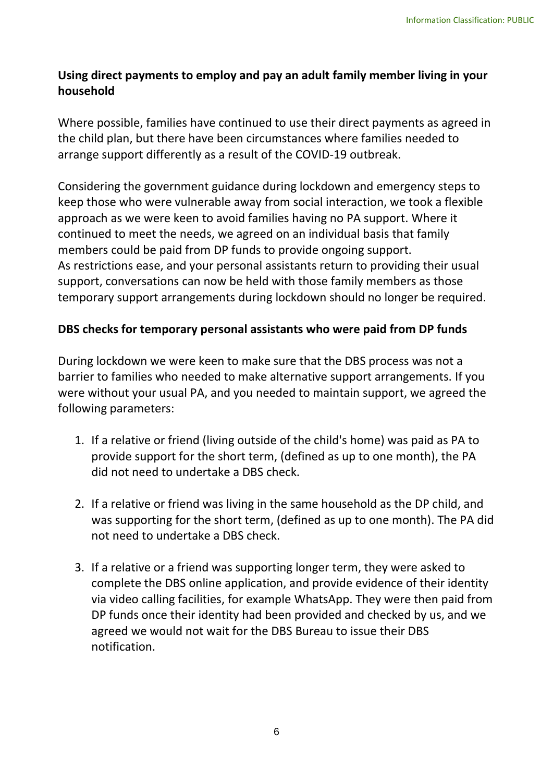## **Using direct payments to employ and pay an adult family member living in your household**

 Where possible, families have continued to use their direct payments as agreed in the child plan, but there have been circumstances where families needed to arrange support differently as a result of the COVID-19 outbreak.

 continued to meet the needs, we agreed on an individual basis that family members could be paid from DP funds to provide ongoing support. support, conversations can now be held with those family members as those Considering the government guidance during lockdown and emergency steps to keep those who were vulnerable away from social interaction, we took a flexible approach as we were keen to avoid families having no PA support. Where it As restrictions ease, and your personal assistants return to providing their usual temporary support arrangements during lockdown should no longer be required.

## **DBS checks for temporary personal assistants who were paid from DP funds**

 barrier to families who needed to make alternative support arrangements. If you were without your usual PA, and you needed to maintain support, we agreed the following parameters: During lockdown we were keen to make sure that the DBS process was not a

- 1. If a relative or friend (living outside of the child's home) was paid as PA to provide support for the short term, (defined as up to one month), the PA did not need to undertake a DBS check.
- 2. If a relative or friend was living in the same household as the DP child, and was supporting for the short term, (defined as up to one month). The PA did not need to undertake a DBS check.
- via video calling facilities, for example WhatsApp. They were then paid from DP funds once their identity had been provided and checked by us, and we agreed we would not wait for the DBS Bureau to issue their DBS 3. If a relative or a friend was supporting longer term, they were asked to complete the DBS online application, and provide evidence of their identity notification.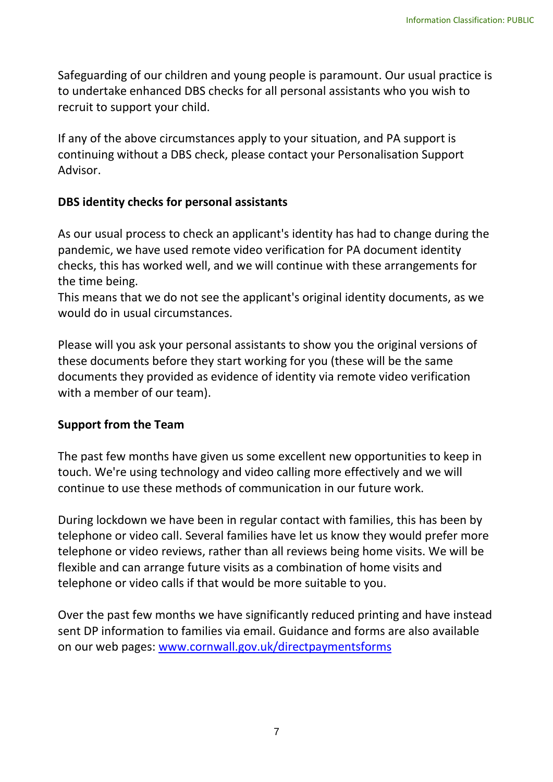Safeguarding of our children and young people is paramount. Our usual practice is to undertake enhanced DBS checks for all personal assistants who you wish to recruit to support your child.

If any of the above circumstances apply to your situation, and PA support is continuing without a DBS check, please contact your Personalisation Support Advisor.

#### **DBS identity checks for personal assistants**

 As our usual process to check an applicant's identity has had to change during the pandemic, we have used remote video verification for PA document identity checks, this has worked well, and we will continue with these arrangements for the time being.

 would do in usual circumstances. This means that we do not see the applicant's original identity documents, as we

Please will you ask your personal assistants to show you the original versions of these documents before they start working for you (these will be the same documents they provided as evidence of identity via remote video verification with a member of our team).

#### **Support from the Team**

 The past few months have given us some excellent new opportunities to keep in continue to use these methods of communication in our future work. touch. We're using technology and video calling more effectively and we will

 During lockdown we have been in regular contact with families, this has been by telephone or video call. Several families have let us know they would prefer more telephone or video reviews, rather than all reviews being home visits. We will be flexible and can arrange future visits as a combination of home visits and telephone or video calls if that would be more suitable to you.

Over the past few months we have significantly reduced printing and have instead sent DP information to families via email. Guidance and forms are also available on our web pages: [www.cornwall.gov.uk/directpaymentsforms](http://www.cornwall.gov.uk/directpaymentsforms)